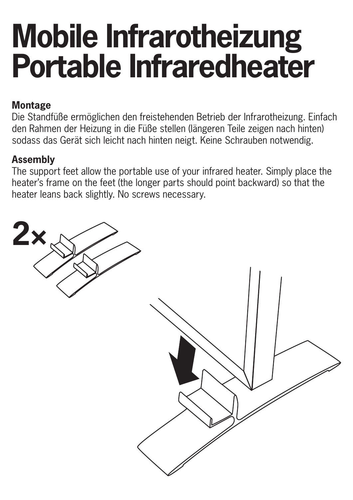## **Mobile Infrarotheizung Portable Infraredheater**

## **Montage**

Die Standfüße ermöglichen den freistehenden Betrieb der Infrarotheizung. Einfach den Rahmen der Heizung in die Füße stellen (längeren Teile zeigen nach hinten) sodass das Gerät sich leicht nach hinten neigt. Keine Schrauben notwendig.

## **Assembly**

The support feet allow the portable use of your infrared heater. Simply place the heater's frame on the feet (the longer parts should point backward) so that the heater leans back slightly. No screws necessary.